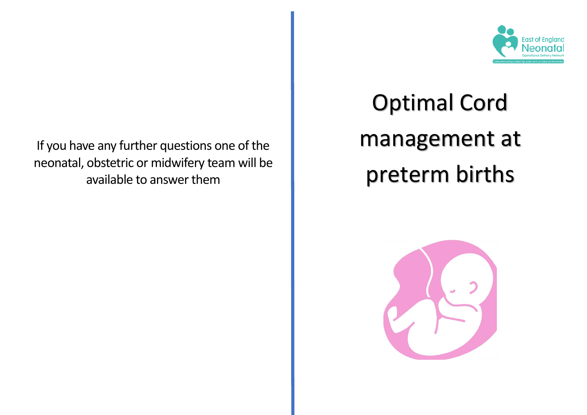If you have any further questions one of the neonatal, obstetric or midwifery team will be available to answer them



# Optimal Cord management at preterm births